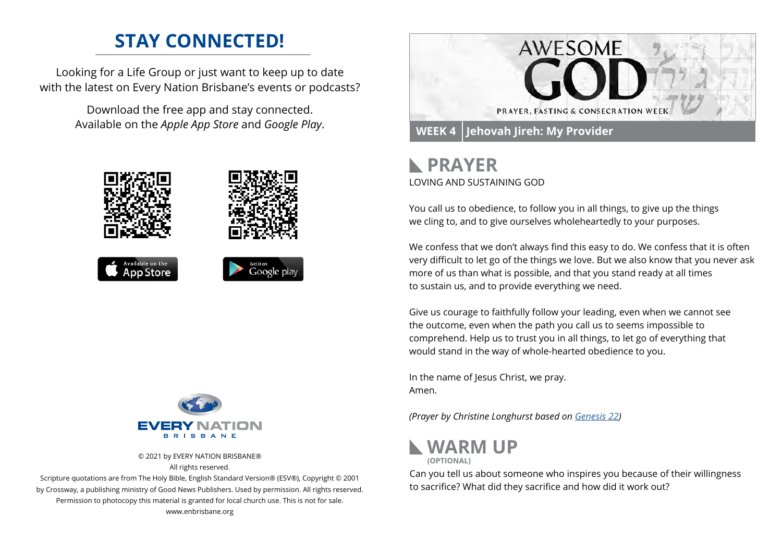## **STAY CONNECTED!**

Looking for a Life Group or just want to keep up to date with the latest on Every Nation Brisbane's events or podcasts?

> Download the free app and stay connected. Available on the *Apple App Store* and *Google Play*.





© 2021 by EVERY NATION BRISBANE® All rights reserved.

Scripture quotations are from The Holy Bible, English Standard Version® (ESV®), Copyright © 2001 by Crossway, a publishing ministry of Good News Publishers. Used by permission. All rights reserved. Permission to photocopy this material is granted for local church use. This is not for sale. www.enbrisbane.org



### **PRAYER** LOVING AND SUSTAINING GOD

You call us to obedience, to follow you in all things, to give up the things we cling to, and to give ourselves wholeheartedly to your purposes.

We confess that we don't always find this easy to do. We confess that it is often very difficult to let go of the things we love. But we also know that you never ask more of us than what is possible, and that you stand ready at all times to sustain us, and to provide everything we need.

Give us courage to faithfully follow your leading, even when we cannot see the outcome, even when the path you call us to seems impossible to comprehend. Help us to trust you in all things, to let go of everything that would stand in the way of whole-hearted obedience to you.

In the name of Jesus Christ, we pray. Amen.

*(Prayer by Christine Longhurst based on [Genesis 22](https://www.biblegateway.com/passage/?search=Genesis%2022&version=ESV))*



Can you tell us about someone who inspires you because of their willingness to sacrifice? What did they sacrifice and how did it work out?